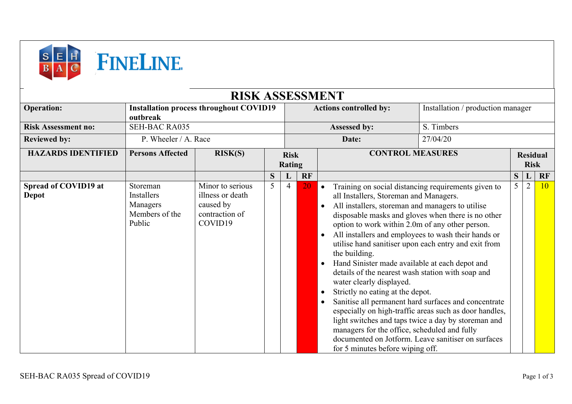

|                               |                                                                | <b>RISK ASSESSMENT</b>                                                         |                              |   |                                                                    |                                                                                                                                                                                                                                                                                                                                                                |                                                                                                                                                                                                                             |                                |                |                 |  |  |  |
|-------------------------------|----------------------------------------------------------------|--------------------------------------------------------------------------------|------------------------------|---|--------------------------------------------------------------------|----------------------------------------------------------------------------------------------------------------------------------------------------------------------------------------------------------------------------------------------------------------------------------------------------------------------------------------------------------------|-----------------------------------------------------------------------------------------------------------------------------------------------------------------------------------------------------------------------------|--------------------------------|----------------|-----------------|--|--|--|
| <b>Operation:</b>             | outbreak                                                       | <b>Installation process throughout COVID19</b>                                 |                              |   | Installation / production manager<br><b>Actions controlled by:</b> |                                                                                                                                                                                                                                                                                                                                                                |                                                                                                                                                                                                                             |                                |                |                 |  |  |  |
| <b>Risk Assessment no:</b>    | <b>SEH-BAC RA035</b>                                           |                                                                                |                              |   | S. Timbers<br>Assessed by:                                         |                                                                                                                                                                                                                                                                                                                                                                |                                                                                                                                                                                                                             |                                |                |                 |  |  |  |
| <b>Reviewed by:</b>           | P. Wheeler / A. Race                                           |                                                                                |                              |   |                                                                    | Date:                                                                                                                                                                                                                                                                                                                                                          | 27/04/20                                                                                                                                                                                                                    |                                |                |                 |  |  |  |
| <b>HAZARDS IDENTIFIED</b>     | <b>Persons Affected</b><br>RISK(S)                             |                                                                                | <b>Risk</b><br><b>Rating</b> |   | <b>CONTROL MEASURES</b>                                            |                                                                                                                                                                                                                                                                                                                                                                |                                                                                                                                                                                                                             | <b>Residual</b><br><b>Risk</b> |                |                 |  |  |  |
| Spread of COVID19 at<br>Depot | Storeman<br>Installers<br>Managers<br>Members of the<br>Public | Minor to serious<br>illness or death<br>caused by<br>contraction of<br>COVID19 | 5                            | 4 | 20                                                                 | Training on social distancing requirements given to<br>$\bullet$<br>all Installers, Storeman and Managers.<br>All installers, storeman and managers to utilise<br>option to work within 2.0m of any other person.<br>All installers and employees to wash their hands or<br>$\bullet$<br>utilise hand sanitiser upon each entry and exit from<br>the building. | disposable masks and gloves when there is no other                                                                                                                                                                          | 5                              | $\overline{2}$ | 10 <sup>°</sup> |  |  |  |
|                               |                                                                |                                                                                |                              |   |                                                                    | Hand Sinister made available at each depot and<br>$\bullet$<br>details of the nearest wash station with soap and<br>water clearly displayed.<br>Strictly no eating at the depot.<br>$\bullet$<br>$\bullet$<br>managers for the office, scheduled and fully<br>for 5 minutes before wiping off.                                                                 | Sanitise all permanent hard surfaces and concentrate<br>especially on high-traffic areas such as door handles,<br>light switches and taps twice a day by storeman and<br>documented on Jotform. Leave sanitiser on surfaces |                                |                |                 |  |  |  |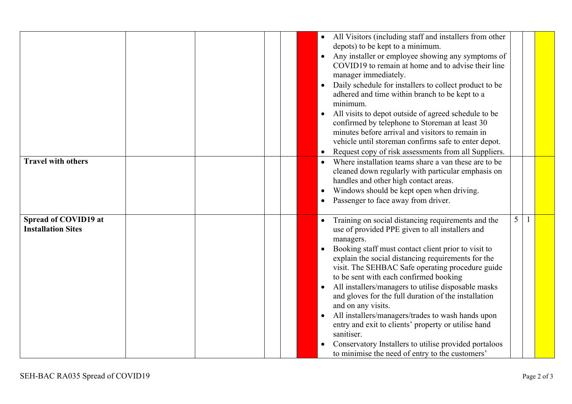|                                                   | All Visitors (including staff and installers from other<br>depots) to be kept to a minimum.<br>Any installer or employee showing any symptoms of<br>COVID19 to remain at home and to advise their line<br>manager immediately.<br>Daily schedule for installers to collect product to be<br>adhered and time within branch to be kept to a<br>minimum.<br>All visits to depot outside of agreed schedule to be<br>confirmed by telephone to Storeman at least 30<br>minutes before arrival and visitors to remain in<br>vehicle until storeman confirms safe to enter depot.<br>Request copy of risk assessments from all Suppliers.                                                                                          |
|---------------------------------------------------|-------------------------------------------------------------------------------------------------------------------------------------------------------------------------------------------------------------------------------------------------------------------------------------------------------------------------------------------------------------------------------------------------------------------------------------------------------------------------------------------------------------------------------------------------------------------------------------------------------------------------------------------------------------------------------------------------------------------------------|
| <b>Travel with others</b>                         | Where installation teams share a van these are to be<br>cleaned down regularly with particular emphasis on<br>handles and other high contact areas.<br>Windows should be kept open when driving.<br>Passenger to face away from driver.                                                                                                                                                                                                                                                                                                                                                                                                                                                                                       |
| Spread of COVID19 at<br><b>Installation Sites</b> | 5<br>Training on social distancing requirements and the<br>$\mathbf{1}$<br>use of provided PPE given to all installers and<br>managers.<br>Booking staff must contact client prior to visit to<br>explain the social distancing requirements for the<br>visit. The SEHBAC Safe operating procedure guide<br>to be sent with each confirmed booking<br>All installers/managers to utilise disposable masks<br>and gloves for the full duration of the installation<br>and on any visits.<br>All installers/managers/trades to wash hands upon<br>entry and exit to clients' property or utilise hand<br>sanitiser.<br>Conservatory Installers to utilise provided portaloos<br>to minimise the need of entry to the customers' |